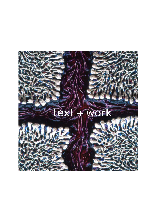# Text + WOFK XXX

This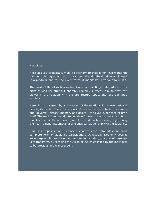## Here Lies

Here Lies is a large scale, multi-disciplinary art installation, incorporating; painting, photography, text, music, sound and behavioral rules. Staged in a modular nature, the event-form, it manifests in various formulas.

The heart of Here Lies is a series of abstract paintings, referred to by the artist as wall sculptures. Elaborate, complex surfaces, aim to draw the viewer into a relation with the architectural space that the paintings establish.

Here Lies is governed by a perception of the relationship between art and people, its public. The artist's principal themes aspire to be both intimate and universal; history, memory and desire – the lived experience of time itself. The work does not aim to be 'about' these concepts, but attempts to manifest them in the real world, with form and function as one, objectifying themes in a dynamic, emotional and physical relationship with the audience.

Here Lies proposes that this mode of contact is the profoundest and most complete form of audience participation, achievable. Not only does it encourage a mixture of wonderment and uncertainty, the goal of Here lies is to transform, by recalling the vision of life which is felt by the individual to be precious and transcendent.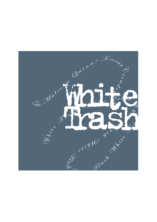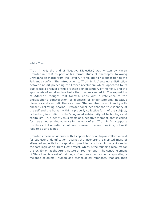### White Trash

'Truth in Art; the end of Negative Dialectics', was written by Kieran Crowder in 1990 as part of his formal study of philosophy, following Crowder's discharge from the Royal Air Force due to his opposition to the Falklands conflict. The introduction to 'Truth in Art' sets up a distinction between an art preceding the French revolution, which 'appeared to its public less a product of this life than plenipotentiary of the next', and the apotheosis of middle-class taste that has succeeded it. The exposition of Adorno's thought that follows, ends with a reference to the philosopher's constellation of dialectic of enlightenment, negative dialectics and aesthetic theory around 'the impulse toward identity with oneself'. Following Adorno, Crowder concludes that the true identity of the self and the human within a properly collective form of the subject, is blocked, inter alia, by the 'congealed subjectivity' of technology and capitalism. True identity thus exists as a negative moment, that is called forth as an objectified absence in the work of art. 'Truth in Art' supports the thesis that an artist should not represent the world as it is, but as it fails to be and is not.

Crowder's thesis on Adorno, with its opposition of a utopian collective field for subjective identification, against the incoherent, disjointed mass of alienated subjectivity in capitalism, provides us with an important clue to the core logic of his 'Here Lies' project, which is the founding resource for this exhibition at the Arts Institute at Bournemouth. The central element of 'Here Lies' is a set of paintings of various sizes, some incorporating a mélange of animal, human and technological remnants, that are then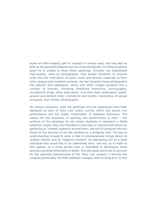layers are then shaped, split or 'cracked' in various ways, and may also be built up into geometric figures such as circles and spirals. For those occasions when he is unable to show these paintings, Crowder has substituted high-quality, close-up photographs, that isolate elements of textural relief and the imbrication of paint, bone and diverse materials to form hard, opaque and resistant surfaces. He has compiled these photographs into albums and catalogues, along with other images grouped into a number of themes, including childhood memories, pornography, recreational drugs, idols, body parts, rural and urban landscapes, wasteground and derelict sites, crematoria and tombs, mementos of sexual conquest, and holiday photographs.

On various occasions, both the paintings and the catalogues have been displayed as part of 'Here Lies' public events, which use sound, live performance and the subtle modification of audience behaviour. The reason for the extension of painting into performance is clear – the surfaces of the paintings do not simply illustrate or represent a failed collective utopia, they are intended to articulate or express that failure by gathering an 'undead' audience around them, the sort of audience who are drawn to the promise of art like zombies to a shopping mall. The key to understanding Crowder's work is that it simultaneously brings about its utopian mission and its 'negative moment', by addressing you as a dead individual who would like to be collectively alive, and not, as it might at first appear, as a living person who is interested in developing some spurious personal philosophy of death. This also goes some way to account for the essential tastelessness of the 'Here Lies' project; it shrivels the complex personality, the little aesthetic nosegay, that we bring to it. In this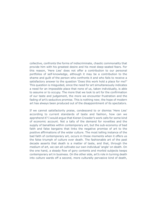collective, confronts the forms of indiscriminate, chaotic commonality that provide him with his greatest desire and his most deep-seated fears. For this reason, 'Here Lies' does not offer a contribution to our personal portfolios of self-knowledge, although it may be a contribution to the shame and guilt of the person who confronts it and who fails to receive a satisfactory answer to the question 'Does this work hold a place for me?' This question is misguided, since the need for art simultaneously indicates a need for an impossible place that none of us, taken individually, is able to assume or to occupy. The more that we look to art for the confirmation of our taste and judgement, the more we encounter frustration and the fading of art's seductive promise. This is nothing new; the hope of modern art has always been produced out of the disappointment of its spectators.

If we cannot satisfactorily praise, condescend to or dismiss 'Here Lies' according to current standards of taste and fashion, how can we apprehend it? I would argue that Kieran Crowder's work calls for some kind of economic account. Not a tally of the demand for novelties and the supply of banalities within contemporary art, but the sub-economy of bad faith and false bargains that links the negative promise of art to the positive affirmations of the wider culture. The most telling instance of the bad faith of contemporary art, occurs in those moments when it offers us the false triumph of culture over death. The fashionable art of the past decade asserts that death is a matter of taste, and that, through the medium of art, we can all cultivate our own individual 'angle' on death. On the one hand, a steady flow of gory contents and morbid subjects keeps contemporary art in business. On the other side, art's role in turning death into culture wards off a second, more culturally pervasive kind of death,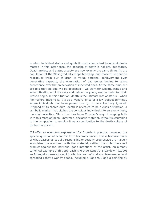in which individual status and symbolic distinction is lost to indiscriminate matter. In this latter case, the opposite of death is not life, but status. Death anxiety and status anxiety are now exactly the same thing. As the population of the West gradually stops breeding, and those of us that do reproduce train our children to value personal achievement over generative capacity, the elimination of bad genes begins to takes precedence over the preservation of inherited ones. At the same time, we are told that old age will be abolished – we work for wealth, status and self-cultivation until the very end, while the young wait in limbo for their lives to begin. In this situation, death is the ultimate loss of status – when filmmakers imagine it, it is as a welfare office or a low-budget terminal, where individuals that have passed over go to be collectively ignored. Stripped of its sacred aura, death is revealed to be a class distinction, a symbolic marker that pitches the conscious individual into an anonymous, material collective. 'Here Lies' has been Crowder's way of keeping faith with this mass of fallen, unformed, déclassé material, without succumbing to the temptation to employ it as a contribution to the death culture of contemporary art.

If I offer an economic explanation for Crowder's practice, however, the specific question of economic form becomes crucial. This is because much of what passes as socially responsible or socially progressive art, naively associates the economic with the material, setting the collectively evil product against the individual good intentions of the artist. An already canonical example of this approach is Michael Landy's 'Breakdown' (2000) an Artangel sponsored event in which a team of workers disassembled and shredded Landy's worldy goods, including a Saab 900 and a painting by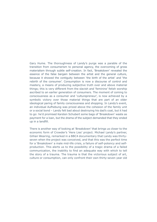Gary Hume. The thoroughness of Landy's purge was a parable of the transition from consumerism to personal agency, the overcoming of gross materialism through subtle self-creation. In fact, 'Breakdown' revealed the essence of the false bargain between the artist and the general culture, because it showed the contiguity between 'the birth of the artist' and 'the rebirth of the consumer'. Consumption is now a discourse of control and mastery, a means of producing subjective truth over and above material things; this is very different from the slavish and 'feminine' fetish worship ascribed to an earlier generation of consumers. The moment of coming to consciousness as a consumer and 'culturepreneur', is now achieved by a symbolic victory over those material things that are part of an older ideological paring of family consciousness and shopping. In Landy's event, an individual Aufhebung was prized above the cohesion of the family unit or a social bond – Landy felt bad about destroying his dad's coat, but it had to go: he'd promised Karsten Schubert some bags of 'Breakdown' waste as payment for a loan, but the drama of the subject demanded that they ended up in a landfill.

There is another way of looking at 'Breakdown' that brings us closer to the economic form of Crowder's 'Here Lies' project. Michael Landy's partner, Gillian Wearing, remarked in a BBC4 documentary that Landy was thirtyseven when the project was conceived, and that this was the perfect time for a 'Breakdown' a male mid-life crisis, a failure of self-potency and selfproduction. This alerts us to the possibility of a tragic drama of a failed communication, the inability to find an adequate way with which to tell the story of a trauma. The trauma is that the victorious subject of art, culture or consumption, can only confront their own thirty-seven year old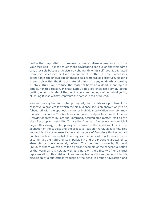notion that capitalist or consumerist materialism alienates you from your true self – it is the much more devastating conclusion that this same self, precisely because it insists so vehemently on its selfhood, is alienated from the necessary or lived alienation of matter in time. Necessary alienation is the knowledge of oneself as a temporalised creature, existing irreversibly within the time of material things. In denying death by turning it into culture, we produce the material body as a dead, meaningless object. For this reason, Michael Landy's mid-life crisis isn't simply about getting older, it is about the point where an ideology of perpetual youth, of 'Young British Artists', confronts the corpse it has produced.

We can thus say that for contemporary art, death exists as a problem of the collective, a problem for which the art audience seeks an answer, only to be fobbed off with the spurious victory of individual cultivation over common material dissolution. This is a false solution to a real problem, one that Kieran Crowder addresses by locating unformed, accumulated matter itself as the site of a utopian possibility. To use the Adornian framework with which I began this essay, contemporary art shows us the world as it is, in the alienation of the subject and the collective, but only rarely as it is not. This impossible duty of representation is at the core of Crowder's thinking on art and his practice as an artist. This may seem an absurd task for any artist to assume, yet the nature of its impossibility and the precise character of its absurdity, can be adequately defined. This has been shown by Sigmund Freud, to whom we can turn for a brilliant example of the conceptualisation of the world as it is not, as well as a note on the difficulty of its pictorial representation. This vision of an impossible world can be found in his discussion of a subjectless 'republic of the dead' in Freud's Civilisation and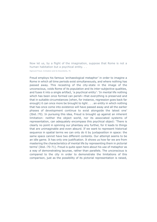Now let us, by a flight of the imagination, suppose that Rome is not a human habitation but a psychical entity. . .

Sigmund Freud, Civilization and its Discontents, 70.

Freud employs his famous 'archaeological metaphor' in order to imagine a Rome in which all time periods exist simultaneously, and where nothing has passed away. This recasting of the city-state in the image of the unconscious, voids Rome of its population and its inter-subjective qualities, and fuses it into a single artifact, 'a psychical entity': 'In mental life nothing which has been once formed can perish—that everything is preserved and that in suitable circumstances (when, for instance, regression goes back far enough) it can once more be brought to light . . . an entity in which nothing that has once come into existence will have passed away and all the earlier phases of development continue to exist alongside the latest one' (Ibid.:70). In pursuing this idea, Freud is brought up against an inherent limitation: neither the object world, nor its associated systems of representation, can adequately encompass this psychical object: 'There is clearly no point in spinning our phantasy any further, for it leads to things that are unimaginable and even absurd. If we want to represent historical sequence in spatial terms we can only do it by juxtaposition in space: the same space cannot have two different contents. Our attempt seems to be an idle game. It has only one justification. It shows us how far we are from mastering the characteristics of mental life by representing them in pictorial terms' (Ibid.:70-71). Freud is quite open here about his use of metaphor as a way of demonstrating lacunae, rather than parallels. The unconscious is compared to the city in order to demonstrate the limitations of this comparison, just as the possibility of its pictorial representation is raised,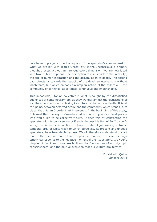only to run up against the inadequacy of the spectator's comprehension. What we are left with in this 'unreal city' is the unconscious, a primary thought process without an inter-subjective dimension. We are now faced with two routes or options. The first option takes us back to the 'real city', the site of human interaction and the accumulation of goods. The second path directs us towards the republic of the dead, an eternal city without inhabitants, but which embodies a utopian notion of the collective – the community of all things, at all times, continuous and imperishable.

This impossible, utopian collective is what is sought by the dissatisfied audiences of contemporary art, as they wander amidst the distractions of a culture hell-bent on displaying its cultural victories over death. It is at this point, between deferred desire and the commodity which stands in its place, that Kieran Crowder's art intervenes. At the beginning of this essay, I claimed that the key to Crowder's art is that it you as a dead person who would like to be collectively alive. It does this by confronting the spectator with its own version of Freud's 'impossible Rome'. In Crowder's work, this is an accumulation of frozen material jouissance, a transtemporal orgy of white trash to which ourselves, its present and undead spectators, have been denied access. We will therefore understand this art more fully when we realize that the positive moment of these paintings strictly corresponds to the negative moment of their spectators. Crowder's utopias of paint and bone are built on the foundations of our dystopic consciousness, and the mutual suspicion that our culture proliferates.

> Dr Malcolm Quinn October 2004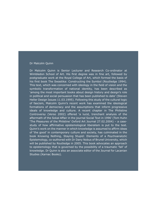#### Dr Malcolm Quinn

Dr Malcolm Quinn is Senior Lecturer and Research Co-ordinator at Wimbledon School of Art. His first degree was in fine art, followed by postgraduate work at the Royal College of Art, which formed the basis of his first book The Swastika: Constructing the Symbol (Routledge 1994). This text, which was concerned with ideology in the field of vision and the symbolic transformation of national identity, has been described as 'among the most important books about design history and design's role in political and social persuasion that has been published to date' (Steven Heller Design Issues 11.03.1995). Following this study of the cultural logic of fascism, Malcolm Quinn's recent work has examined the ideological formations of democracy and the assumptions that inform progressive ideals of knowledge and culture. A recent chapter in The Philistine Controversy (Verso 2002) offered 'a lucid, trenchant analysis of the aftermath of the Sokal Affair in the journal Social Text in 1996' (Tom Huhn 'The Pleasures of the Philstine' Oxford Art Journal 27.02.2004) – a casestudy of how affirmative epistemological liberalism is put to the test. Quinn's work on the manner in which knowledge is assumed to affirm ideas of 'the good' in contemporary culture and society, has culminated in the book Knowing Nothing, Staying Stupid: Elements of a Psychoanalytic Epistemology, co-authored with Dr Dany Nobus of Brunel University, which will be published by Routledge in 2005. This book advocates an approach to epistemology that is governed by the possibility of a traumatic 'fall' of knowledge. Dr Quinn is also an associate editor of the Journal for Lacanian Studies (Karnac Books).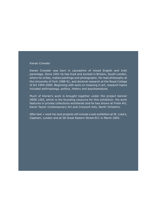#### Kieran Crowder

Kieran Crowder was born in Lancashire of mixed English and Irish parentage. Since 1991 he has lived and worked in Brixton, South London, where he writes, makes paintings and photographs. He read philosophy at the University of York 1988-91, and doctoral research at the Royal College of Art 1994-2000. Beginning with work on meaning in art, research topics included anthropology, politics, history and psychoanalysis.

Much of Kieran's work is brought together under the project banner HERE LIES, which is the founding resource for this exhibition. His work features in private collections worldwide and he has shown at Fresh Art, Karen Taylor Contemporary Art and Crescent Arts, North Yorkshire.

After text + work his next projects will include a solo exhibition at St. Luke's, Clapham, London and at 58 Great Eastern Street EC1 in March 2005.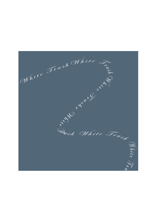$(N^{hil}e^{\frac{(\sum_{i=1}^{n}a_{i}b_{i})}N^{hil}e^{\frac{(\sum_{i=1}^{n}a_{i}b_{i})}e^{2\pi i n}}}{\sum_{i=1}^{n}e^{2\pi i n}})$  $\mathbb{Q}$  hite  $\frac{1}{\sqrt{2}}$  $\frac{\kappa}{2}$